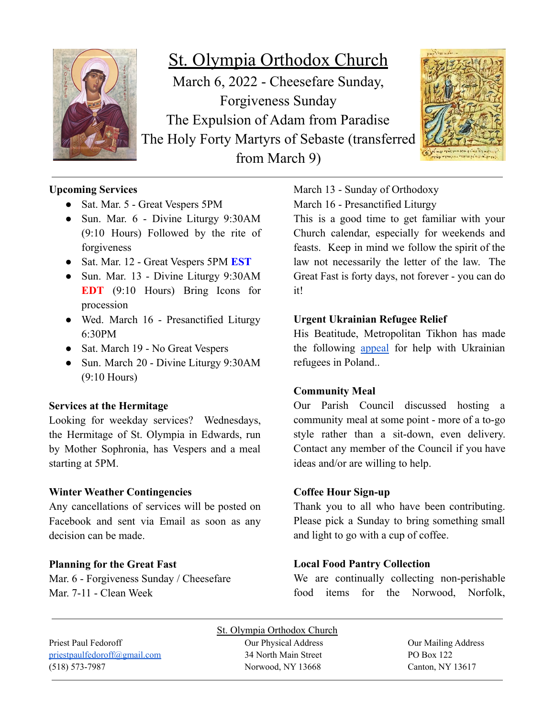

St. Olympia Orthodox Church March 6, 2022 - Cheesefare Sunday, Forgiveness Sunday The Expulsion of Adam from Paradise The Holy Forty Martyrs of Sebaste (transferred from March 9)



# **Upcoming Services**

- Sat. Mar. 5 Great Vespers 5PM
- Sun. Mar. 6 Divine Liturgy 9:30AM (9:10 Hours) Followed by the rite of forgiveness
- Sat. Mar. 12 Great Vespers 5PM **EST**
- Sun. Mar. 13 Divine Liturgy 9:30AM **EDT** (9:10 Hours) Bring Icons for procession
- Wed. March 16 Presanctified Liturgy 6:30PM
- Sat. March 19 No Great Vespers
- Sun. March 20 Divine Liturgy 9:30AM (9:10 Hours)

# **Services at the Hermitage**

Looking for weekday services? Wednesdays, the Hermitage of St. Olympia in Edwards, run by Mother Sophronia, has Vespers and a meal starting at 5PM.

# **Winter Weather Contingencies**

Any cancellations of services will be posted on Facebook and sent via Email as soon as any decision can be made.

# **Planning for the Great Fast**

Mar. 6 - Forgiveness Sunday / Cheesefare Mar. 7-11 - Clean Week

March 13 - Sunday of Orthodoxy

March 16 - Presanctified Liturgy

This is a good time to get familiar with your Church calendar, especially for weekends and feasts. Keep in mind we follow the spirit of the law not necessarily the letter of the law. The Great Fast is forty days, not forever - you can do it!

## **Urgent Ukrainian Refugee Relief**

His Beatitude, Metropolitan Tikhon has made the following [appeal](https://www.oca.org/news/headline-news/his-beatitude-metropolitan-tikhon-makes-urgent-financial-appeal-for-ukrainian-refugee-relief) for help with Ukrainian refugees in Poland..

### **Community Meal**

Our Parish Council discussed hosting a community meal at some point - more of a to-go style rather than a sit-down, even delivery. Contact any member of the Council if you have ideas and/or are willing to help.

### **Coffee Hour Sign-up**

Thank you to all who have been contributing. Please pick a Sunday to bring something small and light to go with a cup of coffee.

# **Local Food Pantry Collection**

We are continually collecting non-perishable food items for the Norwood, Norfolk,

(518) 573-7987 Norwood, NY 13668 Canton, NY 13617

St. Olympia Orthodox Church Priest Paul Fedoroff Our Physical Address Our Mailing Address [priestpaulfedoroff@gmail.com](mailto:priestpaulfedoroff@gmail.com) 34 North Main Street PO Box 122